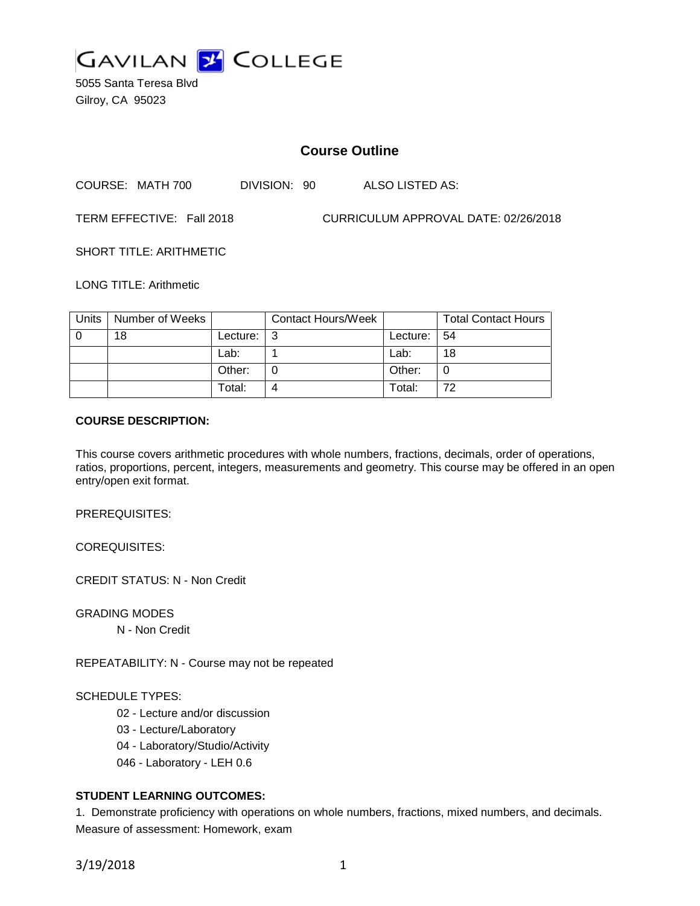

5055 Santa Teresa Blvd Gilroy, CA 95023

## **Course Outline**

COURSE: MATH 700 DIVISION: 90 ALSO LISTED AS:

TERM EFFECTIVE: Fall 2018 CURRICULUM APPROVAL DATE: 02/26/2018

SHORT TITLE: ARITHMETIC

LONG TITLE: Arithmetic

| Units | Number of Weeks |          | <b>Contact Hours/Week</b> |                 | <b>Total Contact Hours</b> |
|-------|-----------------|----------|---------------------------|-----------------|----------------------------|
|       | 18              | Lecture: |                           | Lecture: $  54$ |                            |
|       |                 | Lab:     |                           | Lab:            | 18                         |
|       |                 | Other:   |                           | Other:          |                            |
|       |                 | Total:   |                           | Total:          | 72.                        |

## **COURSE DESCRIPTION:**

This course covers arithmetic procedures with whole numbers, fractions, decimals, order of operations, ratios, proportions, percent, integers, measurements and geometry. This course may be offered in an open entry/open exit format.

PREREQUISITES:

COREQUISITES:

CREDIT STATUS: N - Non Credit

GRADING MODES

N - Non Credit

REPEATABILITY: N - Course may not be repeated

#### SCHEDULE TYPES:

- 02 Lecture and/or discussion
- 03 Lecture/Laboratory
- 04 Laboratory/Studio/Activity
- 046 Laboratory LEH 0.6

## **STUDENT LEARNING OUTCOMES:**

1. Demonstrate proficiency with operations on whole numbers, fractions, mixed numbers, and decimals. Measure of assessment: Homework, exam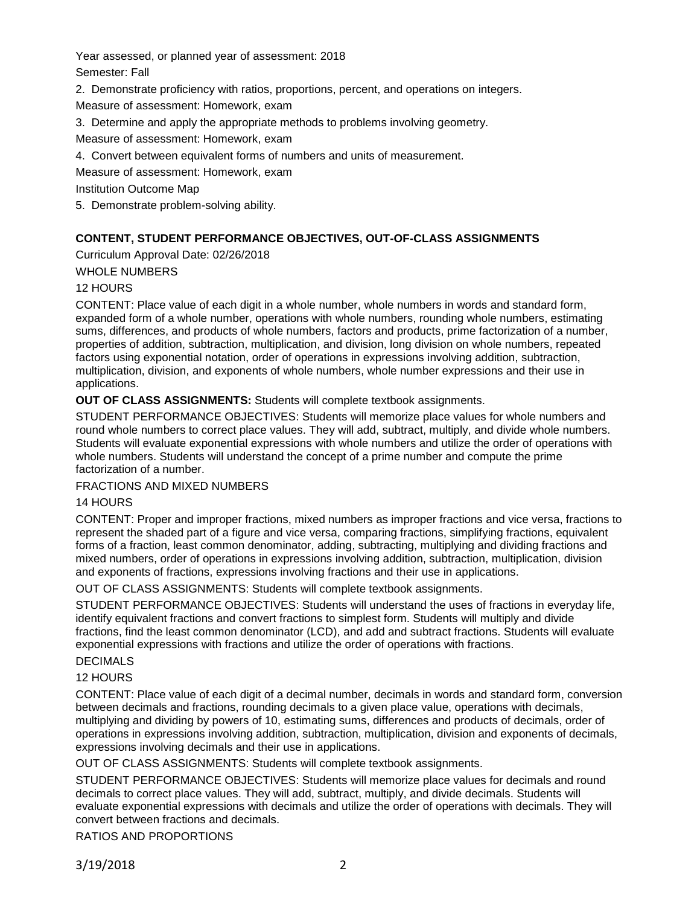Year assessed, or planned year of assessment: 2018 Semester: Fall

2. Demonstrate proficiency with ratios, proportions, percent, and operations on integers.

Measure of assessment: Homework, exam

3. Determine and apply the appropriate methods to problems involving geometry.

Measure of assessment: Homework, exam

4. Convert between equivalent forms of numbers and units of measurement.

Measure of assessment: Homework, exam

Institution Outcome Map

5. Demonstrate problem-solving ability.

## **CONTENT, STUDENT PERFORMANCE OBJECTIVES, OUT-OF-CLASS ASSIGNMENTS**

Curriculum Approval Date: 02/26/2018

WHOLE NUMBERS

## 12 HOURS

CONTENT: Place value of each digit in a whole number, whole numbers in words and standard form, expanded form of a whole number, operations with whole numbers, rounding whole numbers, estimating sums, differences, and products of whole numbers, factors and products, prime factorization of a number, properties of addition, subtraction, multiplication, and division, long division on whole numbers, repeated factors using exponential notation, order of operations in expressions involving addition, subtraction, multiplication, division, and exponents of whole numbers, whole number expressions and their use in applications.

**OUT OF CLASS ASSIGNMENTS:** Students will complete textbook assignments.

STUDENT PERFORMANCE OBJECTIVES: Students will memorize place values for whole numbers and round whole numbers to correct place values. They will add, subtract, multiply, and divide whole numbers. Students will evaluate exponential expressions with whole numbers and utilize the order of operations with whole numbers. Students will understand the concept of a prime number and compute the prime factorization of a number.

## FRACTIONS AND MIXED NUMBERS

## 14 HOURS

CONTENT: Proper and improper fractions, mixed numbers as improper fractions and vice versa, fractions to represent the shaded part of a figure and vice versa, comparing fractions, simplifying fractions, equivalent forms of a fraction, least common denominator, adding, subtracting, multiplying and dividing fractions and mixed numbers, order of operations in expressions involving addition, subtraction, multiplication, division and exponents of fractions, expressions involving fractions and their use in applications.

OUT OF CLASS ASSIGNMENTS: Students will complete textbook assignments.

STUDENT PERFORMANCE OBJECTIVES: Students will understand the uses of fractions in everyday life, identify equivalent fractions and convert fractions to simplest form. Students will multiply and divide fractions, find the least common denominator (LCD), and add and subtract fractions. Students will evaluate exponential expressions with fractions and utilize the order of operations with fractions.

# **DECIMALS**

## 12 HOURS

CONTENT: Place value of each digit of a decimal number, decimals in words and standard form, conversion between decimals and fractions, rounding decimals to a given place value, operations with decimals, multiplying and dividing by powers of 10, estimating sums, differences and products of decimals, order of operations in expressions involving addition, subtraction, multiplication, division and exponents of decimals, expressions involving decimals and their use in applications.

OUT OF CLASS ASSIGNMENTS: Students will complete textbook assignments.

STUDENT PERFORMANCE OBJECTIVES: Students will memorize place values for decimals and round decimals to correct place values. They will add, subtract, multiply, and divide decimals. Students will evaluate exponential expressions with decimals and utilize the order of operations with decimals. They will convert between fractions and decimals.

RATIOS AND PROPORTIONS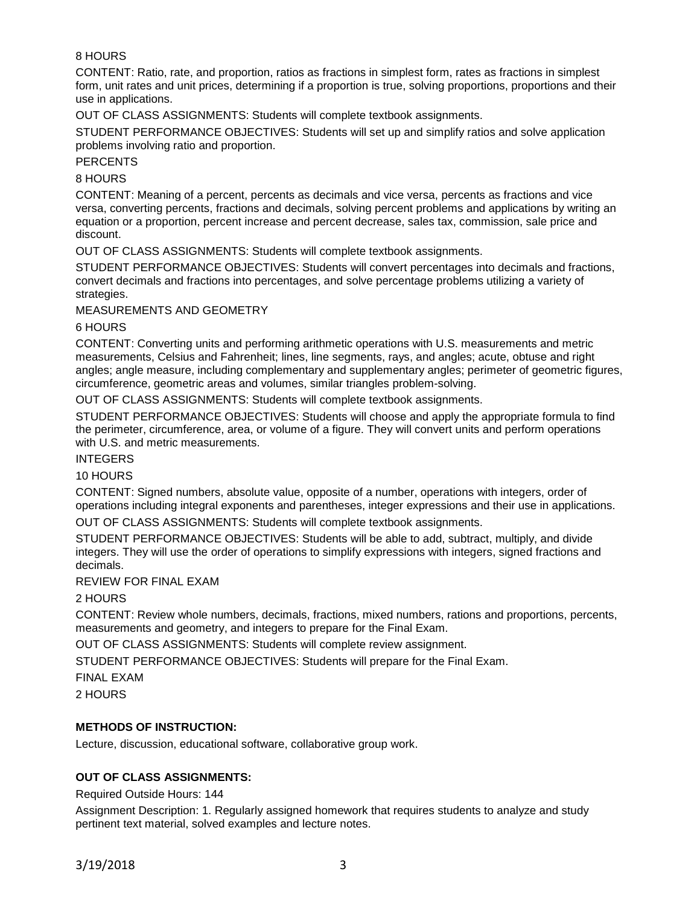## 8 HOURS

CONTENT: Ratio, rate, and proportion, ratios as fractions in simplest form, rates as fractions in simplest form, unit rates and unit prices, determining if a proportion is true, solving proportions, proportions and their use in applications.

OUT OF CLASS ASSIGNMENTS: Students will complete textbook assignments.

STUDENT PERFORMANCE OBJECTIVES: Students will set up and simplify ratios and solve application problems involving ratio and proportion.

#### **PERCENTS**

#### 8 HOURS

CONTENT: Meaning of a percent, percents as decimals and vice versa, percents as fractions and vice versa, converting percents, fractions and decimals, solving percent problems and applications by writing an equation or a proportion, percent increase and percent decrease, sales tax, commission, sale price and discount.

OUT OF CLASS ASSIGNMENTS: Students will complete textbook assignments.

STUDENT PERFORMANCE OBJECTIVES: Students will convert percentages into decimals and fractions, convert decimals and fractions into percentages, and solve percentage problems utilizing a variety of strategies.

MEASUREMENTS AND GEOMETRY

#### 6 HOURS

CONTENT: Converting units and performing arithmetic operations with U.S. measurements and metric measurements, Celsius and Fahrenheit; lines, line segments, rays, and angles; acute, obtuse and right angles; angle measure, including complementary and supplementary angles; perimeter of geometric figures, circumference, geometric areas and volumes, similar triangles problem-solving.

OUT OF CLASS ASSIGNMENTS: Students will complete textbook assignments.

STUDENT PERFORMANCE OBJECTIVES: Students will choose and apply the appropriate formula to find the perimeter, circumference, area, or volume of a figure. They will convert units and perform operations with U.S. and metric measurements.

#### INTEGERS

## 10 HOURS

CONTENT: Signed numbers, absolute value, opposite of a number, operations with integers, order of operations including integral exponents and parentheses, integer expressions and their use in applications.

OUT OF CLASS ASSIGNMENTS: Students will complete textbook assignments.

STUDENT PERFORMANCE OBJECTIVES: Students will be able to add, subtract, multiply, and divide integers. They will use the order of operations to simplify expressions with integers, signed fractions and decimals.

REVIEW FOR FINAL EXAM

2 HOURS

CONTENT: Review whole numbers, decimals, fractions, mixed numbers, rations and proportions, percents, measurements and geometry, and integers to prepare for the Final Exam.

OUT OF CLASS ASSIGNMENTS: Students will complete review assignment.

STUDENT PERFORMANCE OBJECTIVES: Students will prepare for the Final Exam.

FINAL EXAM

2 HOURS

## **METHODS OF INSTRUCTION:**

Lecture, discussion, educational software, collaborative group work.

## **OUT OF CLASS ASSIGNMENTS:**

#### Required Outside Hours: 144

Assignment Description: 1. Regularly assigned homework that requires students to analyze and study pertinent text material, solved examples and lecture notes.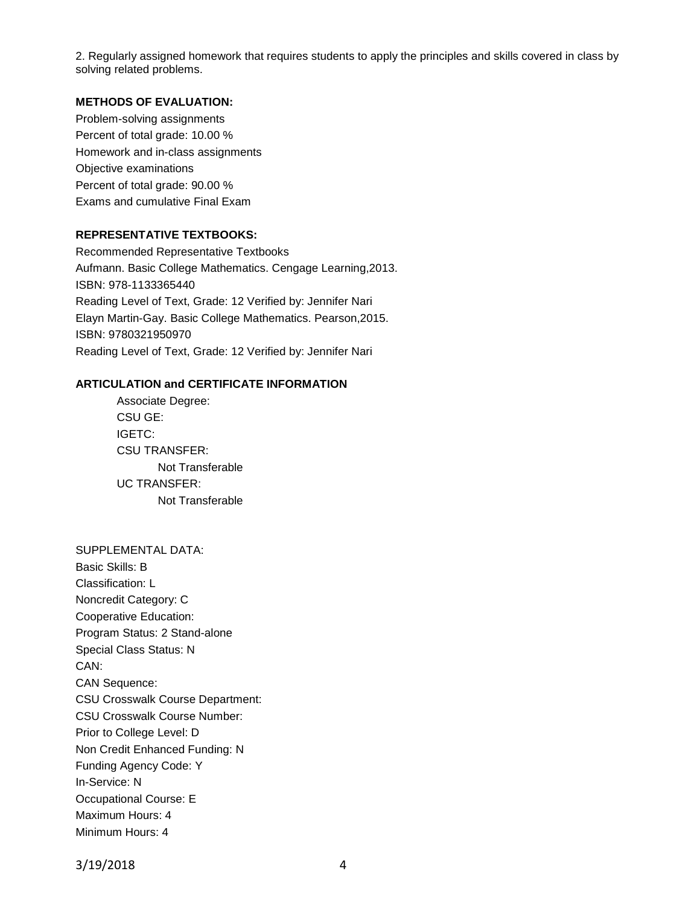2. Regularly assigned homework that requires students to apply the principles and skills covered in class by solving related problems.

## **METHODS OF EVALUATION:**

Problem-solving assignments Percent of total grade: 10.00 % Homework and in-class assignments Objective examinations Percent of total grade: 90.00 % Exams and cumulative Final Exam

## **REPRESENTATIVE TEXTBOOKS:**

Recommended Representative Textbooks Aufmann. Basic College Mathematics. Cengage Learning,2013. ISBN: 978-1133365440 Reading Level of Text, Grade: 12 Verified by: Jennifer Nari Elayn Martin-Gay. Basic College Mathematics. Pearson,2015. ISBN: 9780321950970 Reading Level of Text, Grade: 12 Verified by: Jennifer Nari

#### **ARTICULATION and CERTIFICATE INFORMATION**

Associate Degree: CSU GE: IGETC: CSU TRANSFER: Not Transferable UC TRANSFER: Not Transferable

SUPPLEMENTAL DATA: Basic Skills: B Classification: L Noncredit Category: C Cooperative Education: Program Status: 2 Stand-alone Special Class Status: N CAN: CAN Sequence: CSU Crosswalk Course Department: CSU Crosswalk Course Number: Prior to College Level: D Non Credit Enhanced Funding: N Funding Agency Code: Y In-Service: N Occupational Course: E Maximum Hours: 4 Minimum Hours: 4

3/19/2018 4